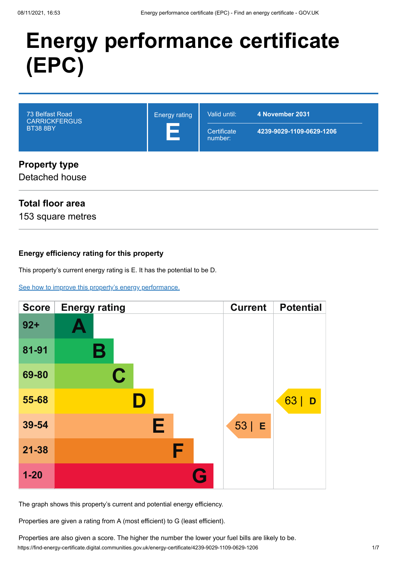# **Energy performance certificate (EPC)**



#### Detached house

#### **Total floor area**

153 square metres

#### **Energy efficiency rating for this property**

This property's current energy rating is E. It has the potential to be D.

[See how to improve this property's energy performance.](#page-3-0)



The graph shows this property's current and potential energy efficiency.

Properties are given a rating from A (most efficient) to G (least efficient).

https://find-energy-certificate.digital.communities.gov.uk/energy-certificate/4239-9029-1109-0629-1206 1/7 Properties are also given a score. The higher the number the lower your fuel bills are likely to be.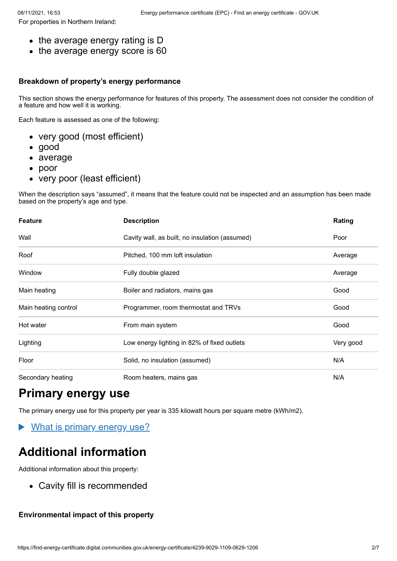- the average energy rating is D
- the average energy score is 60

#### **Breakdown of property's energy performance**

This section shows the energy performance for features of this property. The assessment does not consider the condition of a feature and how well it is working.

Each feature is assessed as one of the following:

- very good (most efficient)
- good
- average
- poor
- very poor (least efficient)

When the description says "assumed", it means that the feature could not be inspected and an assumption has been made based on the property's age and type.

| <b>Feature</b>       | <b>Description</b>                             | Rating    |
|----------------------|------------------------------------------------|-----------|
| Wall                 | Cavity wall, as built, no insulation (assumed) | Poor      |
| Roof                 | Pitched, 100 mm loft insulation                | Average   |
| Window               | Fully double glazed                            | Average   |
| Main heating         | Boiler and radiators, mains gas                | Good      |
| Main heating control | Programmer, room thermostat and TRVs           | Good      |
| Hot water            | From main system                               | Good      |
| Lighting             | Low energy lighting in 82% of fixed outlets    | Very good |
| Floor                | Solid, no insulation (assumed)                 | N/A       |
| Secondary heating    | Room heaters, mains gas                        | N/A       |

# **Primary energy use**

The primary energy use for this property per year is 335 kilowatt hours per square metre (kWh/m2).

What is primary energy use?  $\blacktriangleright$ 

# **Additional information**

Additional information about this property:

Cavity fill is recommended

#### **Environmental impact of this property**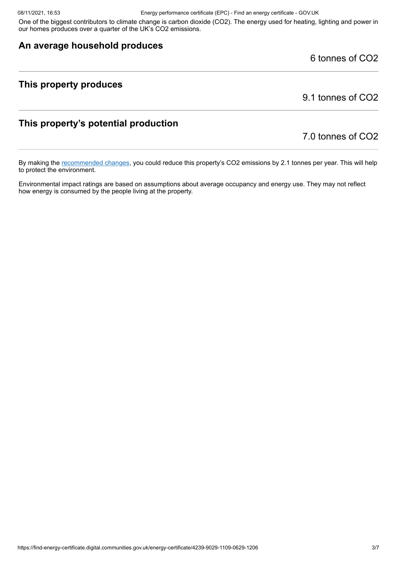One of the biggest contributors to climate change is carbon dioxide (CO2). The energy used for heating, lighting and power in our homes produces over a quarter of the UK's CO2 emissions.

#### **An average household produces**

6 tonnes of CO2

#### **This property produces**

9.1 tonnes of CO2

#### **This property's potential production**

#### 7.0 tonnes of CO2

By making the [recommended changes](#page-3-0), you could reduce this property's CO2 emissions by 2.1 tonnes per year. This will help to protect the environment.

Environmental impact ratings are based on assumptions about average occupancy and energy use. They may not reflect how energy is consumed by the people living at the property.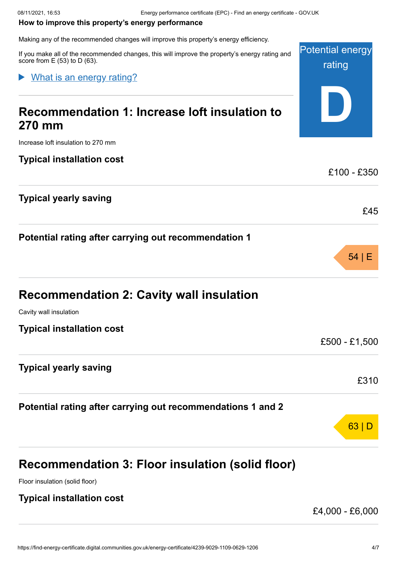#### <span id="page-3-0"></span>**How to improve this property's energy performance**

Making any of the recommended changes will improve this property's energy efficiency.

Potential energy If you make all of the recommended changes, this will improve the property's energy rating and score from E (53) to D (63).

#### What is an energy rating?

# **Recommendation 1: Increase loft insulation to 270 mm**

Increase loft insulation to 270 mm

#### **Typical installation cost**

#### **Typical yearly saving**

#### **Potential rating after carrying out recommendation 1**

| <b>Recommendation 2: Cavity wall insulation</b> |  |  |  |  |
|-------------------------------------------------|--|--|--|--|
|-------------------------------------------------|--|--|--|--|

Cavity wall insulation

**Typical installation cost**

#### **Typical yearly saving**

**Potential rating after carrying out recommendations 1 and 2**

# **Recommendation 3: Floor insulation (solid floor)**

Floor insulation (solid floor)

#### **Typical installation cost**

£4,000 - £6,000

rating

**D**

£100 - £350

£45

54 | E

£500 - £1,500

£310

63 | D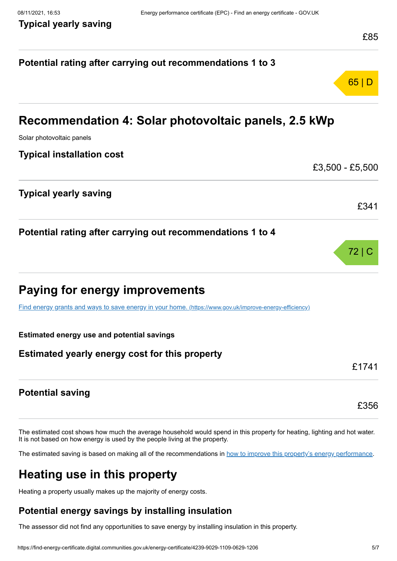|                                                                                                         | LOJ   |
|---------------------------------------------------------------------------------------------------------|-------|
| Potential rating after carrying out recommendations 1 to 3                                              |       |
|                                                                                                         | 65 D  |
| Recommendation 4: Solar photovoltaic panels, 2.5 kWp                                                    |       |
| Solar photovoltaic panels                                                                               |       |
| <b>Typical installation cost</b>                                                                        |       |
| £3,500 - £5,500                                                                                         |       |
| <b>Typical yearly saving</b>                                                                            |       |
|                                                                                                         | £341  |
| Potential rating after carrying out recommendations 1 to 4                                              |       |
|                                                                                                         | 72 C  |
| Paying for energy improvements                                                                          |       |
| Find energy grants and ways to save energy in your home. (https://www.gov.uk/improve-energy-efficiency) |       |
| <b>Estimated energy use and potential savings</b>                                                       |       |
| Estimated yearly energy cost for this property                                                          |       |
|                                                                                                         | £1741 |
| <b>Potential saving</b>                                                                                 |       |
|                                                                                                         | £356  |

The estimated cost shows how much the average household would spend in this property for heating, lighting and hot water. It is not based on how energy is used by the people living at the property.

The estimated saving is based on making all of the recommendations in [how to improve this property's energy performance.](#page-3-0)

# **Heating use in this property**

Heating a property usually makes up the majority of energy costs.

#### **Potential energy savings by installing insulation**

The assessor did not find any opportunities to save energy by installing insulation in this property.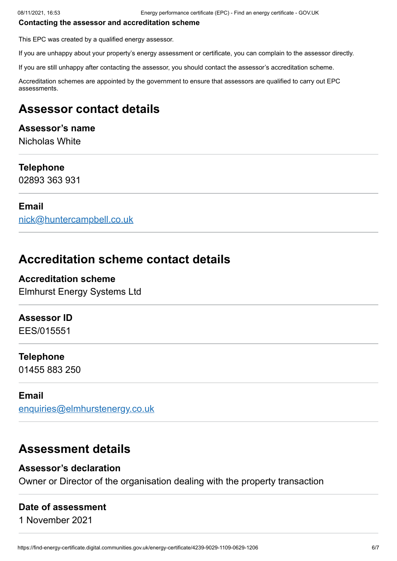#### **Contacting the assessor and accreditation scheme**

This EPC was created by a qualified energy assessor.

If you are unhappy about your property's energy assessment or certificate, you can complain to the assessor directly.

If you are still unhappy after contacting the assessor, you should contact the assessor's accreditation scheme.

Accreditation schemes are appointed by the government to ensure that assessors are qualified to carry out EPC assessments.

# **Assessor contact details**

#### **Assessor's name**

Nicholas White

#### **Telephone**

02893 363 931

#### **Email**

[nick@huntercampbell.co.uk](mailto:nick@huntercampbell.co.uk)

## **Accreditation scheme contact details**

**Accreditation scheme** Elmhurst Energy Systems Ltd

#### **Assessor ID**

EES/015551

#### **Telephone**

01455 883 250

#### **Email**

[enquiries@elmhurstenergy.co.uk](mailto:enquiries@elmhurstenergy.co.uk)

### **Assessment details**

#### **Assessor's declaration**

Owner or Director of the organisation dealing with the property transaction

#### **Date of assessment**

1 November 2021